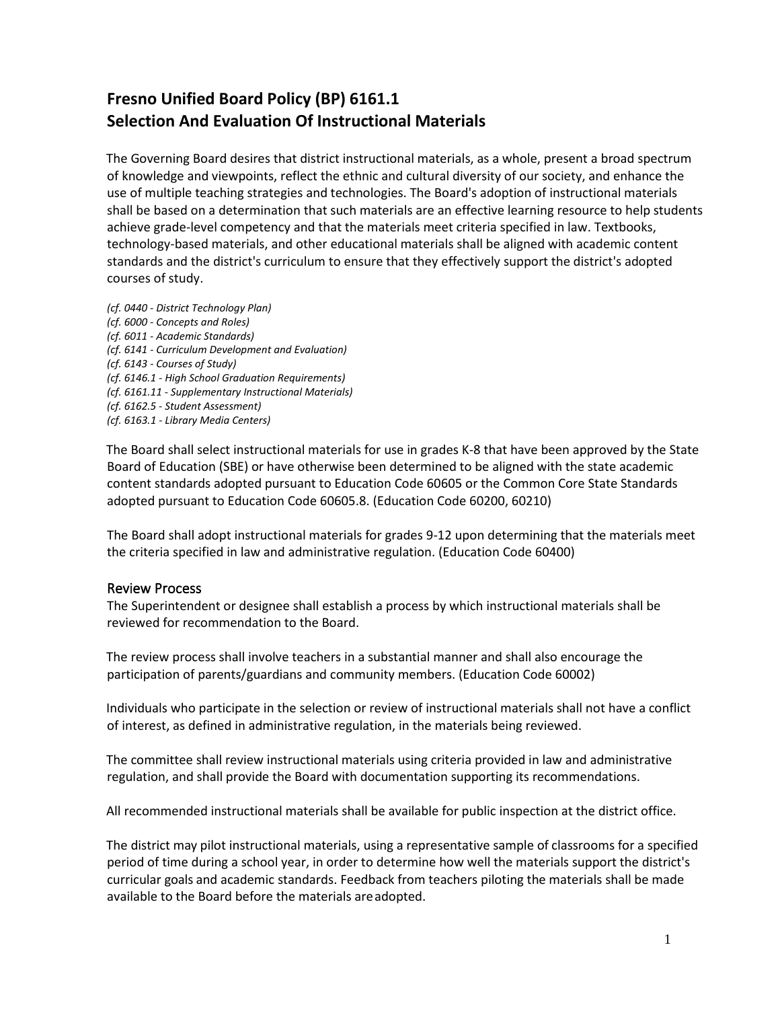## **Fresno Unified Board Policy (BP) 6161.1 Selection And Evaluation Of Instructional Materials**

The Governing Board desires that district instructional materials, as a whole, present a broad spectrum of knowledge and viewpoints, reflect the ethnic and cultural diversity of our society, and enhance the use of multiple teaching strategies and technologies. The Board's adoption of instructional materials shall be based on a determination that such materials are an effective learning resource to help students achieve grade-level competency and that the materials meet criteria specified in law. Textbooks, technology-based materials, and other educational materials shall be aligned with academic content standards and the district's curriculum to ensure that they effectively support the district's adopted courses of study.

*(cf. 0440 - District Technology Plan) (cf. 6000 - Concepts and Roles) (cf. 6011 - Academic Standards) (cf. 6141 - Curriculum Development and Evaluation) (cf. 6143 - Courses of Study) (cf. 6146.1 - High School Graduation Requirements) (cf. 6161.11 - Supplementary Instructional Materials) (cf. 6162.5 - Student Assessment) (cf. 6163.1 - Library Media Centers)*

The Board shall select instructional materials for use in grades K-8 that have been approved by the State Board of Education (SBE) or have otherwise been determined to be aligned with the state academic content standards adopted pursuant to Education Code 60605 or the Common Core State Standards adopted pursuant to Education Code 60605.8. (Education Code 60200, 60210)

The Board shall adopt instructional materials for grades 9-12 upon determining that the materials meet the criteria specified in law and administrative regulation. (Education Code 60400)

## Review Process

The Superintendent or designee shall establish a process by which instructional materials shall be reviewed for recommendation to the Board.

The review process shall involve teachers in a substantial manner and shall also encourage the participation of parents/guardians and community members. (Education Code 60002)

Individuals who participate in the selection or review of instructional materials shall not have a conflict of interest, as defined in administrative regulation, in the materials being reviewed.

The committee shall review instructional materials using criteria provided in law and administrative regulation, and shall provide the Board with documentation supporting its recommendations.

All recommended instructional materials shall be available for public inspection at the district office.

The district may pilot instructional materials, using a representative sample of classrooms for a specified period of time during a school year, in order to determine how well the materials support the district's curricular goals and academic standards. Feedback from teachers piloting the materials shall be made available to the Board before the materials areadopted.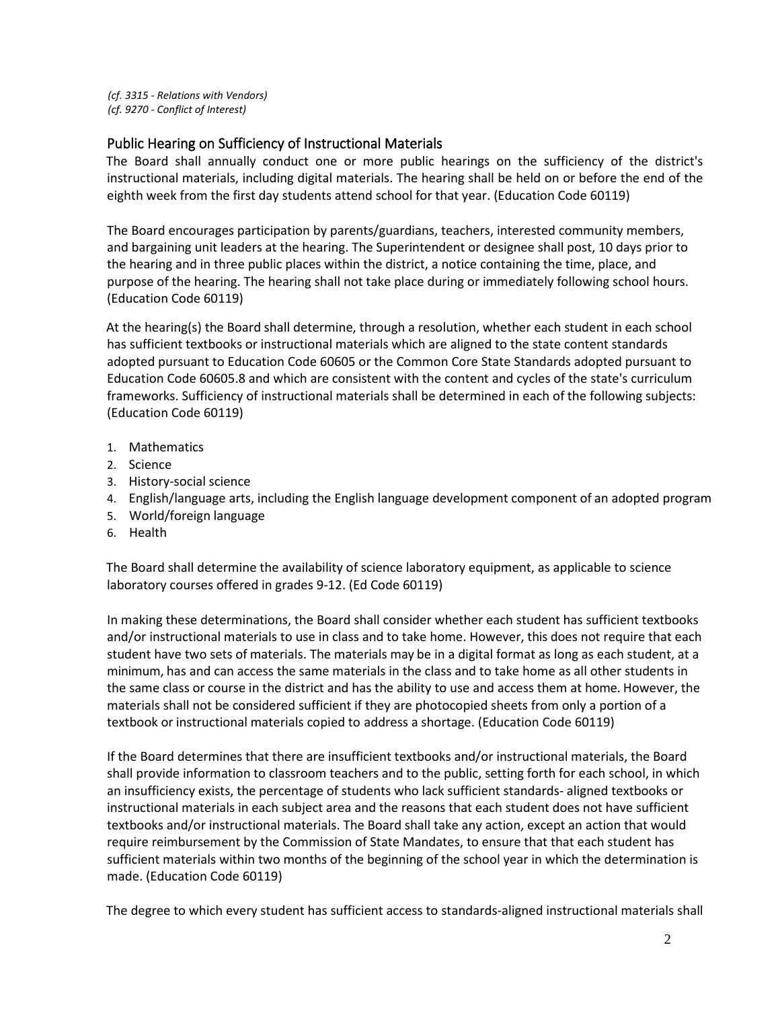*(cf. 3315 - Relations with Vendors) (cf. 9270 - Conflict of Interest)*

## Public Hearing on Sufficiency of Instructional Materials

The Board shall annually conduct one or more public hearings on the sufficiency of the district's instructional materials, including digital materials. The hearing shall be held on or before the end of the eighth week from the first day students attend school for that year. (Education Code 60119)

The Board encourages participation by parents/guardians, teachers, interested community members, and bargaining unit leaders at the hearing. The Superintendent or designee shall post, 10 days prior to the hearing and in three public places within the district, a notice containing the time, place, and purpose of the hearing. The hearing shall not take place during or immediately following school hours. (Education Code 60119)

At the hearing(s) the Board shall determine, through a resolution, whether each student in each school has sufficient textbooks or instructional materials which are aligned to the state content standards adopted pursuant to Education Code 60605 or the Common Core State Standards adopted pursuant to Education Code 60605.8 and which are consistent with the content and cycles of the state's curriculum frameworks. Sufficiency of instructional materials shall be determined in each of the following subjects: (Education Code 60119)

- 1. Mathematics
- 2. Science
- 3. History-social science
- 4. English/language arts, including the English language development component of an adopted program
- 5. World/foreign language
- 6. Health

The Board shall determine the availability of science laboratory equipment, as applicable to science laboratory courses offered in grades 9-12. (Ed Code 60119)

In making these determinations, the Board shall consider whether each student has sufficient textbooks and/or instructional materials to use in class and to take home. However, this does not require that each student have two sets of materials. The materials may be in a digital format as long as each student, at a minimum, has and can access the same materials in the class and to take home as all other students in the same class or course in the district and has the ability to use and access them at home. However, the materials shall not be considered sufficient if they are photocopied sheets from only a portion of a textbook or instructional materials copied to address a shortage. (Education Code 60119)

If the Board determines that there are insufficient textbooks and/or instructional materials, the Board shall provide information to classroom teachers and to the public, setting forth for each school, in which an insufficiency exists, the percentage of students who lack sufficient standards- aligned textbooks or instructional materials in each subject area and the reasons that each student does not have sufficient textbooks and/or instructional materials. The Board shall take any action, except an action that would require reimbursement by the Commission of State Mandates, to ensure that that each student has sufficient materials within two months of the beginning of the school year in which the determination is made. (Education Code 60119)

The degree to which every student has sufficient access to standards-aligned instructional materials shall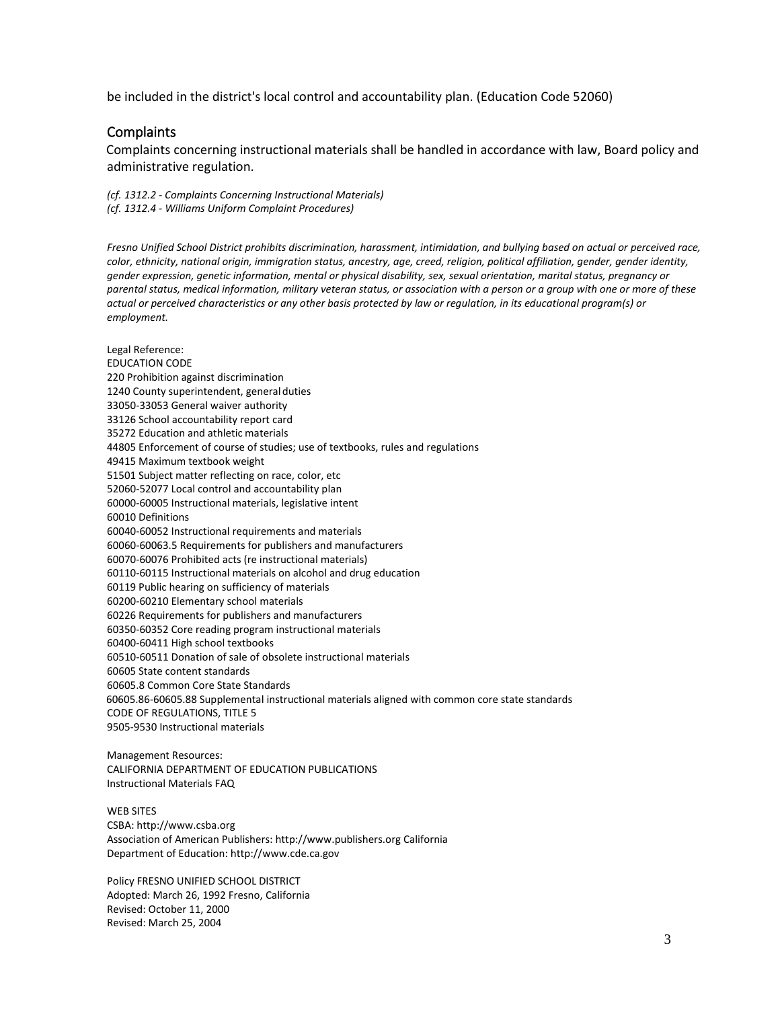be included in the district's local control and accountability plan. (Education Code 52060)

## **Complaints**

Complaints concerning instructional materials shall be handled in accordance with law, Board policy and administrative regulation.

*(cf. 1312.2 - Complaints Concerning Instructional Materials) (cf. 1312.4 - Williams Uniform Complaint Procedures)*

*Fresno Unified School District prohibits discrimination, harassment, intimidation, and bullying based on actual or perceived race, color, ethnicity, national origin, immigration status, ancestry, age, creed, religion, political affiliation, gender, gender identity, gender expression, genetic information, mental or physical disability, sex, sexual orientation, marital status, pregnancy or parental status, medical information, military veteran status, or association with a person or a group with one or more of these actual or perceived characteristics or any other basis protected by law or regulation, in its educational program(s) or employment.*

Legal Reference: EDUCATION CODE 220 Prohibition against discrimination 1240 County superintendent, general duties 33050-33053 General waiver authority 33126 School accountability report card 35272 Education and athletic materials 44805 Enforcement of course of studies; use of textbooks, rules and regulations 49415 Maximum textbook weight 51501 Subject matter reflecting on race, color, etc 52060-52077 Local control and accountability plan 60000-60005 Instructional materials, legislative intent 60010 Definitions 60040-60052 Instructional requirements and materials 60060-60063.5 Requirements for publishers and manufacturers 60070-60076 Prohibited acts (re instructional materials) 60110-60115 Instructional materials on alcohol and drug education 60119 Public hearing on sufficiency of materials 60200-60210 Elementary school materials 60226 Requirements for publishers and manufacturers 60350-60352 Core reading program instructional materials 60400-60411 High school textbooks 60510-60511 Donation of sale of obsolete instructional materials 60605 State content standards 60605.8 Common Core State Standards 60605.86-60605.88 Supplemental instructional materials aligned with common core state standards CODE OF REGULATIONS, TITLE 5 9505-9530 Instructional materials

Management Resources: CALIFORNIA DEPARTMENT OF EDUCATION PUBLICATIONS Instructional Materials FAQ

WEB SITES CSBA[: http://www.csba.org](http://www.csba.org/) Association of American Publishers[: http://www.publishers.org](http://www.publishers.org/) California Department of Education[: http://www.cde.ca.gov](http://www.cde.ca.gov/)

Policy FRESNO UNIFIED SCHOOL DISTRICT Adopted: March 26, 1992 Fresno, California Revised: October 11, 2000 Revised: March 25, 2004